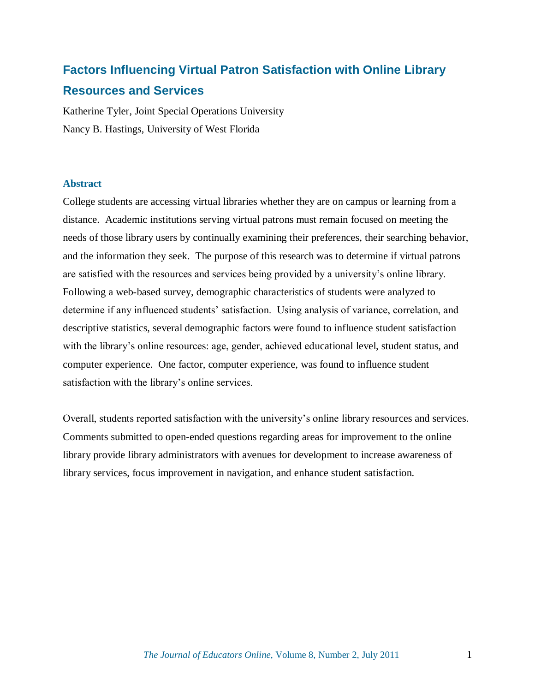# **Factors Influencing Virtual Patron Satisfaction with Online Library Resources and Services**

Katherine Tyler, Joint Special Operations University Nancy B. Hastings, University of West Florida

## **Abstract**

College students are accessing virtual libraries whether they are on campus or learning from a distance. Academic institutions serving virtual patrons must remain focused on meeting the needs of those library users by continually examining their preferences, their searching behavior, and the information they seek. The purpose of this research was to determine if virtual patrons are satisfied with the resources and services being provided by a university's online library. Following a web-based survey, demographic characteristics of students were analyzed to determine if any influenced students' satisfaction. Using analysis of variance, correlation, and descriptive statistics, several demographic factors were found to influence student satisfaction with the library's online resources: age, gender, achieved educational level, student status, and computer experience. One factor, computer experience, was found to influence student satisfaction with the library's online services.

Overall, students reported satisfaction with the university's online library resources and services. Comments submitted to open-ended questions regarding areas for improvement to the online library provide library administrators with avenues for development to increase awareness of library services, focus improvement in navigation, and enhance student satisfaction.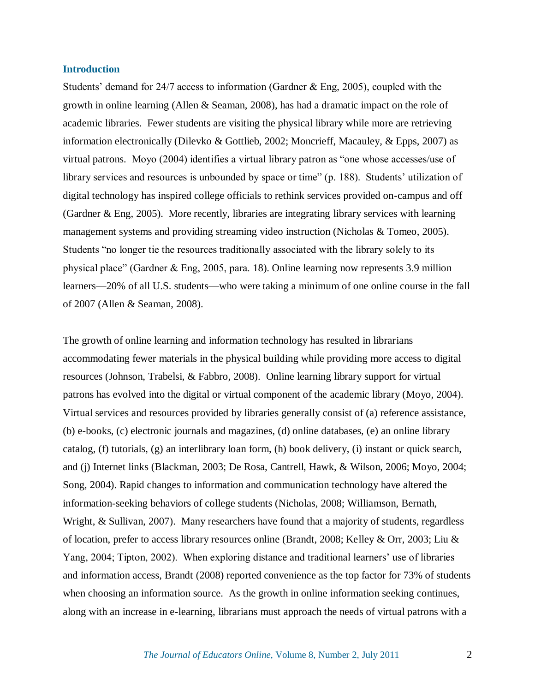#### **Introduction**

Students' demand for 24/7 access to information (Gardner & Eng, 2005), coupled with the growth in online learning (Allen & Seaman, 2008), has had a dramatic impact on the role of academic libraries. Fewer students are visiting the physical library while more are retrieving information electronically (Dilevko & Gottlieb, 2002; Moncrieff, Macauley, & Epps, 2007) as virtual patrons. Movo  $(2004)$  identifies a virtual library patron as "one whose accesses/use of library services and resources is unbounded by space or time" (p. 188). Students' utilization of digital technology has inspired college officials to rethink services provided on-campus and off (Gardner & Eng, 2005). More recently, libraries are integrating library services with learning management systems and providing streaming video instruction (Nicholas & Tomeo, 2005). Students "no longer tie the resources traditionally associated with the library solely to its physical place" (Gardner  $&$  Eng, 2005, para. 18). Online learning now represents 3.9 million learners—20% of all U.S. students—who were taking a minimum of one online course in the fall of 2007 (Allen & Seaman, 2008).

The growth of online learning and information technology has resulted in librarians accommodating fewer materials in the physical building while providing more access to digital resources (Johnson, Trabelsi, & Fabbro, 2008). Online learning library support for virtual patrons has evolved into the digital or virtual component of the academic library (Moyo, 2004). Virtual services and resources provided by libraries generally consist of (a) reference assistance, (b) e-books, (c) electronic journals and magazines, (d) online databases, (e) an online library catalog, (f) tutorials, (g) an interlibrary loan form, (h) book delivery, (i) instant or quick search, and (j) Internet links (Blackman, 2003; De Rosa, Cantrell, Hawk, & Wilson, 2006; Moyo, 2004; Song, 2004). Rapid changes to information and communication technology have altered the information-seeking behaviors of college students (Nicholas, 2008; Williamson, Bernath, Wright, & Sullivan, 2007). Many researchers have found that a majority of students, regardless of location, prefer to access library resources online (Brandt, 2008; Kelley & Orr, 2003; Liu & Yang, 2004; Tipton, 2002). When exploring distance and traditional learners' use of libraries and information access, Brandt (2008) reported convenience as the top factor for 73% of students when choosing an information source. As the growth in online information seeking continues, along with an increase in e-learning, librarians must approach the needs of virtual patrons with a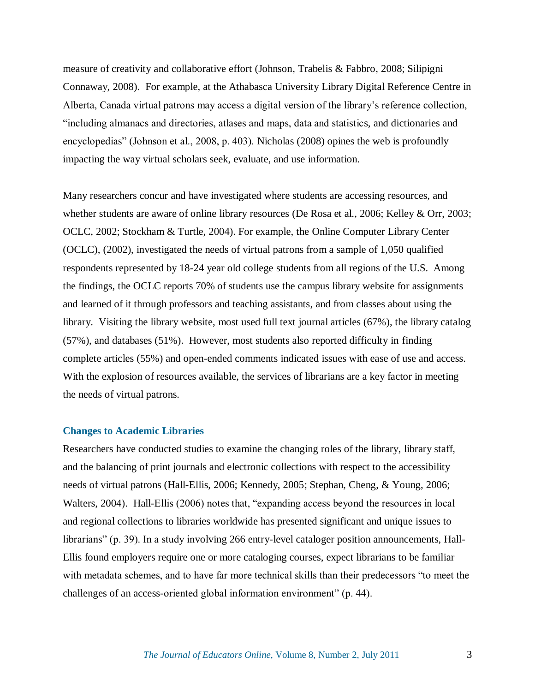measure of creativity and collaborative effort (Johnson, Trabelis & Fabbro, 2008; Silipigni Connaway, 2008). For example, at the Athabasca University Library Digital Reference Centre in Alberta, Canada virtual patrons may access a digital version of the library's reference collection, ―including almanacs and directories, atlases and maps, data and statistics, and dictionaries and encyclopedias" (Johnson et al., 2008, p. 403). Nicholas (2008) opines the web is profoundly impacting the way virtual scholars seek, evaluate, and use information.

Many researchers concur and have investigated where students are accessing resources, and whether students are aware of online library resources (De Rosa et al., 2006; Kelley & Orr, 2003; OCLC, 2002; Stockham & Turtle, 2004). For example, the Online Computer Library Center (OCLC), (2002), investigated the needs of virtual patrons from a sample of 1,050 qualified respondents represented by 18-24 year old college students from all regions of the U.S. Among the findings, the OCLC reports 70% of students use the campus library website for assignments and learned of it through professors and teaching assistants, and from classes about using the library. Visiting the library website, most used full text journal articles (67%), the library catalog (57%), and databases (51%). However, most students also reported difficulty in finding complete articles (55%) and open-ended comments indicated issues with ease of use and access. With the explosion of resources available, the services of librarians are a key factor in meeting the needs of virtual patrons.

### **Changes to Academic Libraries**

Researchers have conducted studies to examine the changing roles of the library, library staff, and the balancing of print journals and electronic collections with respect to the accessibility needs of virtual patrons (Hall-Ellis, 2006; Kennedy, 2005; Stephan, Cheng, & Young, 2006; Walters, 2004). Hall-Ellis (2006) notes that, "expanding access beyond the resources in local and regional collections to libraries worldwide has presented significant and unique issues to librarians" (p. 39). In a study involving 266 entry-level cataloger position announcements, Hall-Ellis found employers require one or more cataloging courses, expect librarians to be familiar with metadata schemes, and to have far more technical skills than their predecessors "to meet the challenges of an access-oriented global information environment" (p. 44).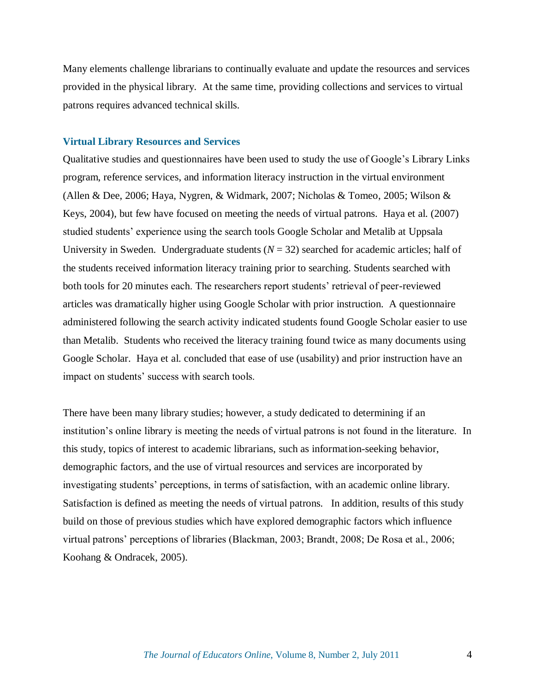Many elements challenge librarians to continually evaluate and update the resources and services provided in the physical library. At the same time, providing collections and services to virtual patrons requires advanced technical skills.

### **Virtual Library Resources and Services**

Qualitative studies and questionnaires have been used to study the use of Google's Library Links program, reference services, and information literacy instruction in the virtual environment (Allen & Dee, 2006; Haya, Nygren, & Widmark, 2007; Nicholas & Tomeo, 2005; Wilson & Keys, 2004), but few have focused on meeting the needs of virtual patrons. Haya et al. (2007) studied students' experience using the search tools Google Scholar and Metalib at Uppsala University in Sweden. Undergraduate students  $(N = 32)$  searched for academic articles; half of the students received information literacy training prior to searching. Students searched with both tools for 20 minutes each. The researchers report students' retrieval of peer-reviewed articles was dramatically higher using Google Scholar with prior instruction. A questionnaire administered following the search activity indicated students found Google Scholar easier to use than Metalib. Students who received the literacy training found twice as many documents using Google Scholar. Haya et al. concluded that ease of use (usability) and prior instruction have an impact on students' success with search tools.

There have been many library studies; however, a study dedicated to determining if an institution's online library is meeting the needs of virtual patrons is not found in the literature. In this study, topics of interest to academic librarians, such as information-seeking behavior, demographic factors, and the use of virtual resources and services are incorporated by investigating students' perceptions, in terms of satisfaction, with an academic online library. Satisfaction is defined as meeting the needs of virtual patrons. In addition, results of this study build on those of previous studies which have explored demographic factors which influence virtual patrons' perceptions of libraries (Blackman, 2003; Brandt, 2008; De Rosa et al., 2006; Koohang & Ondracek, 2005).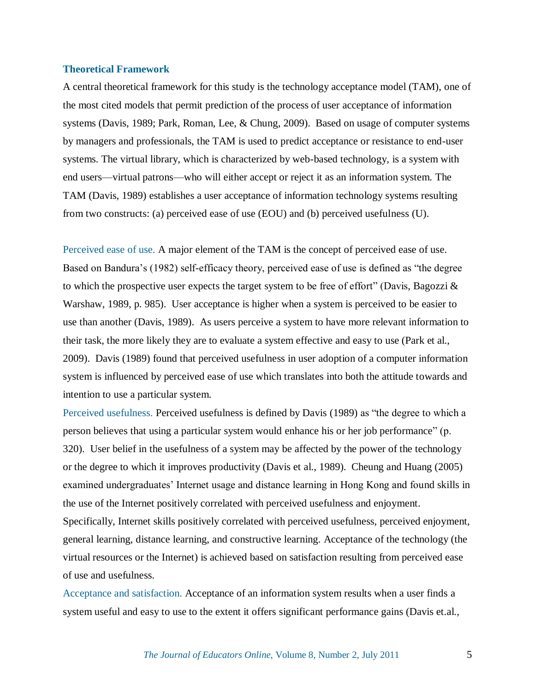#### **Theoretical Framework**

A central theoretical framework for this study is the technology acceptance model (TAM), one of the most cited models that permit prediction of the process of user acceptance of information systems (Davis, 1989; Park, Roman, Lee, & Chung, 2009). Based on usage of computer systems by managers and professionals, the TAM is used to predict acceptance or resistance to end-user systems. The virtual library, which is characterized by web-based technology, is a system with end users—virtual patrons—who will either accept or reject it as an information system. The TAM (Davis, 1989) establishes a user acceptance of information technology systems resulting from two constructs: (a) perceived ease of use (EOU) and (b) perceived usefulness (U).

Perceived ease of use. A major element of the TAM is the concept of perceived ease of use. Based on Bandura's (1982) self-efficacy theory, perceived ease of use is defined as "the degree to which the prospective user expects the target system to be free of effort" (Davis, Bagozzi  $\&$ Warshaw, 1989, p. 985). User acceptance is higher when a system is perceived to be easier to use than another (Davis, 1989). As users perceive a system to have more relevant information to their task, the more likely they are to evaluate a system effective and easy to use (Park et al., 2009). Davis (1989) found that perceived usefulness in user adoption of a computer information system is influenced by perceived ease of use which translates into both the attitude towards and intention to use a particular system.

Perceived usefulness. Perceived usefulness is defined by Davis (1989) as "the degree to which a person believes that using a particular system would enhance his or her job performance" (p. 320). User belief in the usefulness of a system may be affected by the power of the technology or the degree to which it improves productivity (Davis et al., 1989). Cheung and Huang (2005) examined undergraduates' Internet usage and distance learning in Hong Kong and found skills in the use of the Internet positively correlated with perceived usefulness and enjoyment. Specifically, Internet skills positively correlated with perceived usefulness, perceived enjoyment, general learning, distance learning, and constructive learning. Acceptance of the technology (the virtual resources or the Internet) is achieved based on satisfaction resulting from perceived ease of use and usefulness.

Acceptance and satisfaction. Acceptance of an information system results when a user finds a system useful and easy to use to the extent it offers significant performance gains (Davis et.al.,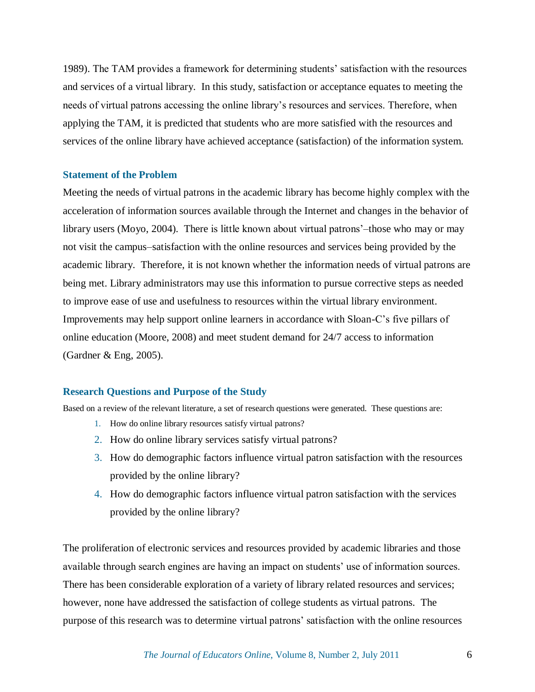1989). The TAM provides a framework for determining students' satisfaction with the resources and services of a virtual library. In this study, satisfaction or acceptance equates to meeting the needs of virtual patrons accessing the online library's resources and services. Therefore, when applying the TAM, it is predicted that students who are more satisfied with the resources and services of the online library have achieved acceptance (satisfaction) of the information system.

## **Statement of the Problem**

Meeting the needs of virtual patrons in the academic library has become highly complex with the acceleration of information sources available through the Internet and changes in the behavior of library users (Moyo, 2004). There is little known about virtual patrons'–those who may or may not visit the campus–satisfaction with the online resources and services being provided by the academic library. Therefore, it is not known whether the information needs of virtual patrons are being met. Library administrators may use this information to pursue corrective steps as needed to improve ease of use and usefulness to resources within the virtual library environment. Improvements may help support online learners in accordance with Sloan-C's five pillars of online education (Moore, 2008) and meet student demand for 24/7 access to information (Gardner & Eng, 2005).

#### **Research Questions and Purpose of the Study**

Based on a review of the relevant literature, a set of research questions were generated. These questions are:

- 1. How do online library resources satisfy virtual patrons?
- 2. How do online library services satisfy virtual patrons?
- 3. How do demographic factors influence virtual patron satisfaction with the resources provided by the online library?
- 4. How do demographic factors influence virtual patron satisfaction with the services provided by the online library?

The proliferation of electronic services and resources provided by academic libraries and those available through search engines are having an impact on students' use of information sources. There has been considerable exploration of a variety of library related resources and services; however, none have addressed the satisfaction of college students as virtual patrons. The purpose of this research was to determine virtual patrons' satisfaction with the online resources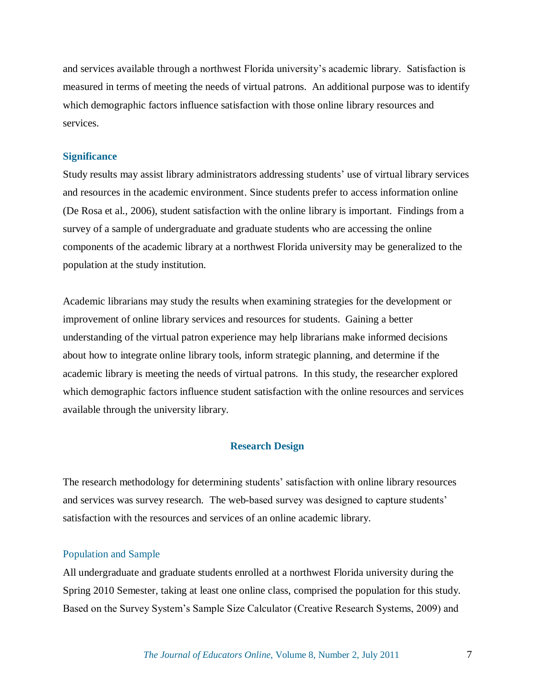and services available through a northwest Florida university's academic library. Satisfaction is measured in terms of meeting the needs of virtual patrons. An additional purpose was to identify which demographic factors influence satisfaction with those online library resources and services.

## **Significance**

Study results may assist library administrators addressing students' use of virtual library services and resources in the academic environment. Since students prefer to access information online (De Rosa et al., 2006), student satisfaction with the online library is important. Findings from a survey of a sample of undergraduate and graduate students who are accessing the online components of the academic library at a northwest Florida university may be generalized to the population at the study institution.

Academic librarians may study the results when examining strategies for the development or improvement of online library services and resources for students. Gaining a better understanding of the virtual patron experience may help librarians make informed decisions about how to integrate online library tools, inform strategic planning, and determine if the academic library is meeting the needs of virtual patrons. In this study, the researcher explored which demographic factors influence student satisfaction with the online resources and services available through the university library.

## **Research Design**

The research methodology for determining students' satisfaction with online library resources and services was survey research. The web-based survey was designed to capture students' satisfaction with the resources and services of an online academic library.

## Population and Sample

All undergraduate and graduate students enrolled at a northwest Florida university during the Spring 2010 Semester, taking at least one online class, comprised the population for this study. Based on the Survey System's Sample Size Calculator (Creative Research Systems, 2009) and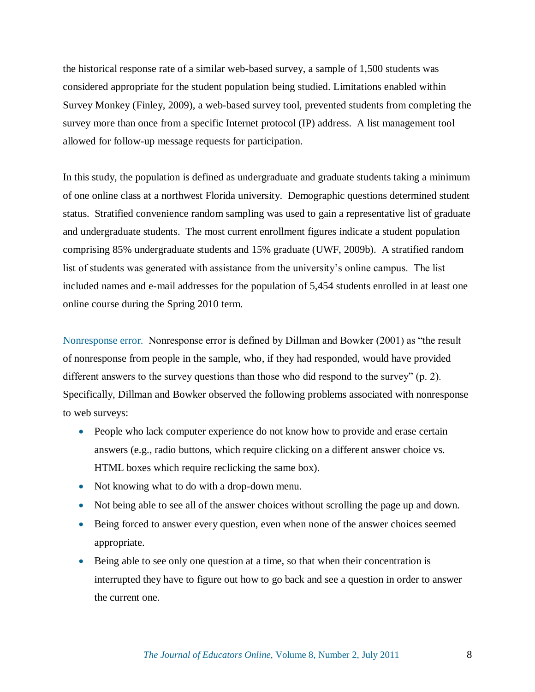the historical response rate of a similar web-based survey, a sample of 1,500 students was considered appropriate for the student population being studied. Limitations enabled within Survey Monkey (Finley, 2009), a web-based survey tool, prevented students from completing the survey more than once from a specific Internet protocol (IP) address. A list management tool allowed for follow-up message requests for participation.

In this study, the population is defined as undergraduate and graduate students taking a minimum of one online class at a northwest Florida university. Demographic questions determined student status. Stratified convenience random sampling was used to gain a representative list of graduate and undergraduate students. The most current enrollment figures indicate a student population comprising 85% undergraduate students and 15% graduate (UWF, 2009b). A stratified random list of students was generated with assistance from the university's online campus. The list included names and e-mail addresses for the population of 5,454 students enrolled in at least one online course during the Spring 2010 term.

Nonresponse error. Nonresponse error is defined by Dillman and Bowker (2001) as "the result of nonresponse from people in the sample, who, if they had responded, would have provided different answers to the survey questions than those who did respond to the survey"  $(p, 2)$ . Specifically, Dillman and Bowker observed the following problems associated with nonresponse to web surveys:

- People who lack computer experience do not know how to provide and erase certain answers (e.g., radio buttons, which require clicking on a different answer choice vs. HTML boxes which require reclicking the same box).
- Not knowing what to do with a drop-down menu.
- Not being able to see all of the answer choices without scrolling the page up and down.
- Being forced to answer every question, even when none of the answer choices seemed appropriate.
- Being able to see only one question at a time, so that when their concentration is interrupted they have to figure out how to go back and see a question in order to answer the current one.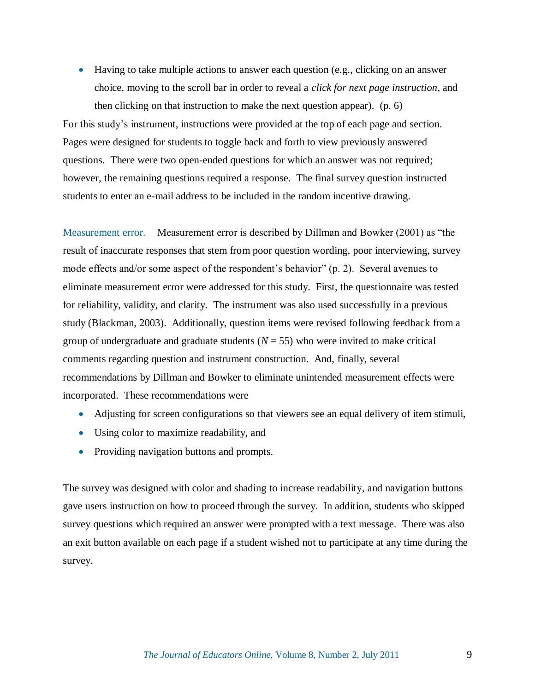Having to take multiple actions to answer each question (e.g., clicking on an answer choice, moving to the scroll bar in order to reveal a *click for next page instruction*, and then clicking on that instruction to make the next question appear). (p. 6) For this study's instrument, instructions were provided at the top of each page and section.

Pages were designed for students to toggle back and forth to view previously answered questions. There were two open-ended questions for which an answer was not required; however, the remaining questions required a response. The final survey question instructed students to enter an e-mail address to be included in the random incentive drawing.

Measurement error. Measurement error is described by Dillman and Bowker (2001) as "the result of inaccurate responses that stem from poor question wording, poor interviewing, survey mode effects and/or some aspect of the respondent's behavior" (p. 2). Several avenues to eliminate measurement error were addressed for this study. First, the questionnaire was tested for reliability, validity, and clarity. The instrument was also used successfully in a previous study (Blackman, 2003). Additionally, question items were revised following feedback from a group of undergraduate and graduate students  $(N = 55)$  who were invited to make critical comments regarding question and instrument construction. And, finally, several recommendations by Dillman and Bowker to eliminate unintended measurement effects were incorporated. These recommendations were

- Adjusting for screen configurations so that viewers see an equal delivery of item stimuli,
- Using color to maximize readability, and
- Providing navigation buttons and prompts.

The survey was designed with color and shading to increase readability, and navigation buttons gave users instruction on how to proceed through the survey. In addition, students who skipped survey questions which required an answer were prompted with a text message. There was also an exit button available on each page if a student wished not to participate at any time during the survey.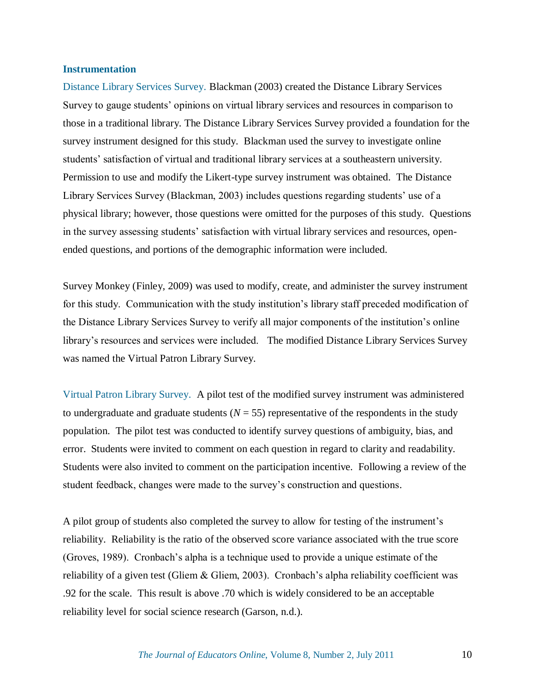### **Instrumentation**

Distance Library Services Survey. Blackman (2003) created the Distance Library Services Survey to gauge students' opinions on virtual library services and resources in comparison to those in a traditional library. The Distance Library Services Survey provided a foundation for the survey instrument designed for this study. Blackman used the survey to investigate online students' satisfaction of virtual and traditional library services at a southeastern university. Permission to use and modify the Likert-type survey instrument was obtained. The Distance Library Services Survey (Blackman, 2003) includes questions regarding students' use of a physical library; however, those questions were omitted for the purposes of this study. Questions in the survey assessing students' satisfaction with virtual library services and resources, openended questions, and portions of the demographic information were included.

Survey Monkey (Finley, 2009) was used to modify, create, and administer the survey instrument for this study. Communication with the study institution's library staff preceded modification of the Distance Library Services Survey to verify all major components of the institution's online library's resources and services were included. The modified Distance Library Services Survey was named the Virtual Patron Library Survey.

Virtual Patron Library Survey.A pilot test of the modified survey instrument was administered to undergraduate and graduate students  $(N = 55)$  representative of the respondents in the study population. The pilot test was conducted to identify survey questions of ambiguity, bias, and error. Students were invited to comment on each question in regard to clarity and readability. Students were also invited to comment on the participation incentive. Following a review of the student feedback, changes were made to the survey's construction and questions.

A pilot group of students also completed the survey to allow for testing of the instrument's reliability. Reliability is the ratio of the observed score variance associated with the true score (Groves, 1989). Cronbach's alpha is a technique used to provide a unique estimate of the reliability of a given test (Gliem  $\&$  Gliem, 2003). Cronbach's alpha reliability coefficient was .92 for the scale. This result is above .70 which is widely considered to be an acceptable reliability level for social science research (Garson, n.d.).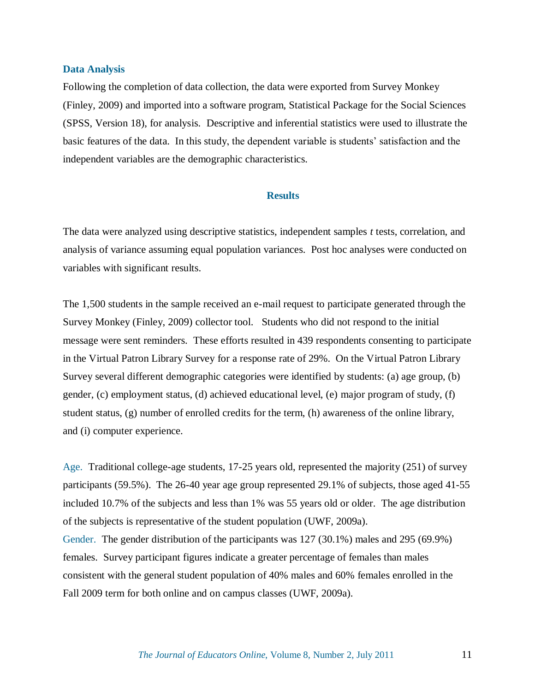#### **Data Analysis**

Following the completion of data collection, the data were exported from Survey Monkey (Finley, 2009) and imported into a software program, Statistical Package for the Social Sciences (SPSS, Version 18), for analysis. Descriptive and inferential statistics were used to illustrate the basic features of the data. In this study, the dependent variable is students' satisfaction and the independent variables are the demographic characteristics.

## **Results**

The data were analyzed using descriptive statistics, independent samples *t* tests, correlation, and analysis of variance assuming equal population variances. Post hoc analyses were conducted on variables with significant results.

The 1,500 students in the sample received an e-mail request to participate generated through the Survey Monkey (Finley, 2009) collector tool. Students who did not respond to the initial message were sent reminders. These efforts resulted in 439 respondents consenting to participate in the Virtual Patron Library Survey for a response rate of 29%. On the Virtual Patron Library Survey several different demographic categories were identified by students: (a) age group, (b) gender, (c) employment status, (d) achieved educational level, (e) major program of study, (f) student status, (g) number of enrolled credits for the term, (h) awareness of the online library, and (i) computer experience.

Age.Traditional college-age students, 17-25 years old, represented the majority (251) of survey participants (59.5%). The 26-40 year age group represented 29.1% of subjects, those aged 41-55 included 10.7% of the subjects and less than 1% was 55 years old or older. The age distribution of the subjects is representative of the student population (UWF, 2009a). Gender.The gender distribution of the participants was 127 (30.1%) males and 295 (69.9%) females. Survey participant figures indicate a greater percentage of females than males consistent with the general student population of 40% males and 60% females enrolled in the Fall 2009 term for both online and on campus classes (UWF, 2009a).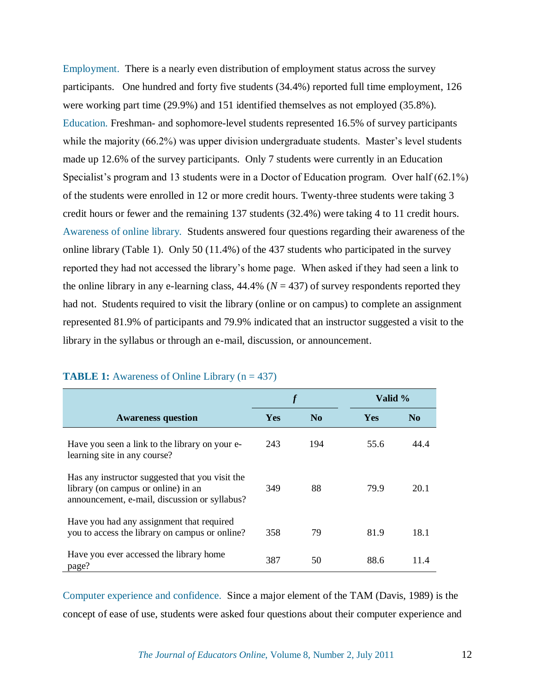Employment. There is a nearly even distribution of employment status across the survey participants. One hundred and forty five students (34.4%) reported full time employment, 126 were working part time (29.9%) and 151 identified themselves as not employed (35.8%). Education. Freshman- and sophomore-level students represented 16.5% of survey participants while the majority (66.2%) was upper division undergraduate students. Master's level students made up 12.6% of the survey participants. Only 7 students were currently in an Education Specialist's program and 13 students were in a Doctor of Education program. Over half (62.1%) of the students were enrolled in 12 or more credit hours. Twenty-three students were taking 3 credit hours or fewer and the remaining 137 students (32.4%) were taking 4 to 11 credit hours. Awareness of online library.Students answered four questions regarding their awareness of the online library (Table 1). Only 50 (11.4%) of the 437 students who participated in the survey reported they had not accessed the library's home page. When asked if they had seen a link to the online library in any e-learning class,  $44.4\%$  ( $N = 437$ ) of survey respondents reported they had not. Students required to visit the library (online or on campus) to complete an assignment represented 81.9% of participants and 79.9% indicated that an instructor suggested a visit to the library in the syllabus or through an e-mail, discussion, or announcement.

|                                                                                                                                         |            |                | Valid %    |                |  |
|-----------------------------------------------------------------------------------------------------------------------------------------|------------|----------------|------------|----------------|--|
| <b>Awareness question</b>                                                                                                               | <b>Yes</b> | $\mathbf{N_0}$ | <b>Yes</b> | N <sub>0</sub> |  |
| Have you seen a link to the library on your e-<br>learning site in any course?                                                          | 243        | 194            | 55.6       | 44 4           |  |
| Has any instructor suggested that you visit the<br>library (on campus or online) in an<br>announcement, e-mail, discussion or syllabus? | 349        | 88             | 79.9       | 20.1           |  |
| Have you had any assignment that required<br>you to access the library on campus or online?                                             | 358        | 79             | 81.9       | 18.1           |  |
| Have you ever accessed the library home<br>page?                                                                                        | 387        | 50             | 88.6       | 11.4           |  |

## **TABLE 1:** Awareness of Online Library (n = 437)

Computer experience and confidence.Since a major element of the TAM (Davis, 1989) is the concept of ease of use, students were asked four questions about their computer experience and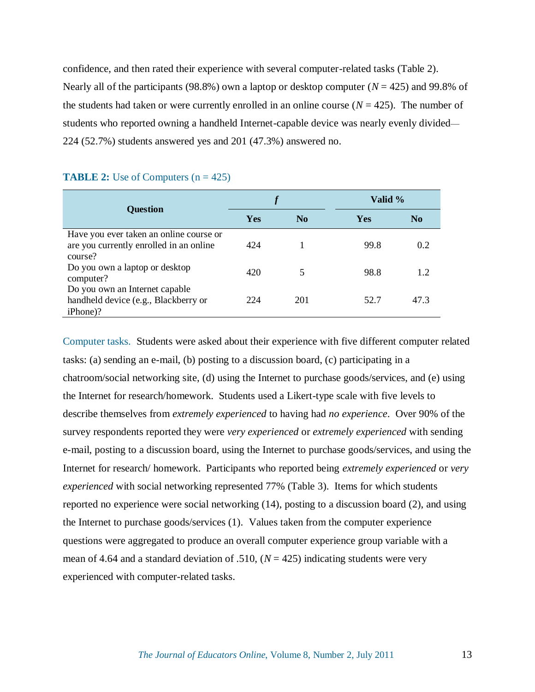confidence, and then rated their experience with several computer-related tasks (Table 2). Nearly all of the participants (98.8%) own a laptop or desktop computer ( $N = 425$ ) and 99.8% of the students had taken or were currently enrolled in an online course  $(N = 425)$ . The number of students who reported owning a handheld Internet-capable device was nearly evenly divided— 224 (52.7%) students answered yes and 201 (47.3%) answered no.

|                                         |            |                | Valid %    |                |  |
|-----------------------------------------|------------|----------------|------------|----------------|--|
| <b>Question</b>                         | <b>Yes</b> | $\mathbf{N_0}$ | <b>Yes</b> | N <sub>0</sub> |  |
| Have you ever taken an online course or |            |                |            |                |  |
| are you currently enrolled in an online | 424        |                | 99.8       | 0.2            |  |
| course?                                 |            |                |            |                |  |
| Do you own a laptop or desktop          | 420        |                | 98.8       |                |  |
| computer?                               |            |                |            |                |  |
| Do you own an Internet capable          |            |                |            |                |  |
| handheld device (e.g., Blackberry or    | 224        | 201            | 52.7       | 473            |  |
| iPhone)?                                |            |                |            |                |  |

## **TABLE 2:** Use of Computers  $(n = 425)$

Computer tasks. Students were asked about their experience with five different computer related tasks: (a) sending an e-mail, (b) posting to a discussion board, (c) participating in a chatroom/social networking site, (d) using the Internet to purchase goods/services, and (e) using the Internet for research/homework. Students used a Likert-type scale with five levels to describe themselves from *extremely experienced* to having had *no experience*. Over 90% of the survey respondents reported they were *very experienced* or *extremely experienced* with sending e-mail, posting to a discussion board, using the Internet to purchase goods/services, and using the Internet for research/ homework. Participants who reported being *extremely experienced* or *very experienced* with social networking represented 77% (Table 3). Items for which students reported no experience were social networking (14), posting to a discussion board (2), and using the Internet to purchase goods/services (1). Values taken from the computer experience questions were aggregated to produce an overall computer experience group variable with a mean of 4.64 and a standard deviation of .510,  $(N = 425)$  indicating students were very experienced with computer-related tasks.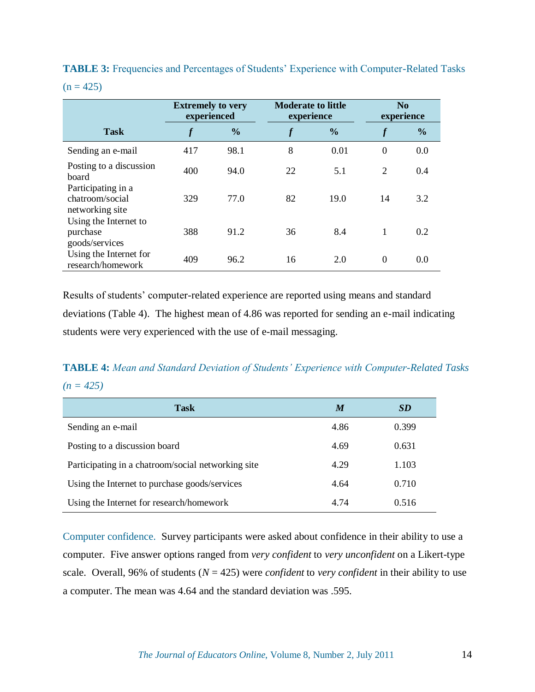**TABLE 3:** Frequencies and Percentages of Students' Experience with Computer-Related Tasks  $(n = 425)$ 

|                                                          | <b>Extremely to very</b><br>experienced |               | <b>Moderate to little</b><br>experience |      | N <sub>0</sub><br>experience |               |
|----------------------------------------------------------|-----------------------------------------|---------------|-----------------------------------------|------|------------------------------|---------------|
| <b>Task</b>                                              |                                         | $\frac{0}{0}$ |                                         | $\%$ | $\boldsymbol{f}$             | $\frac{0}{0}$ |
| Sending an e-mail                                        | 417                                     | 98.1          | 8                                       | 0.01 | $\theta$                     | 0.0           |
| Posting to a discussion<br>board                         | 400                                     | 94.0          | 22                                      | 5.1  | 2                            | 0.4           |
| Participating in a<br>chatroom/social<br>networking site | 329                                     | 77.0          | 82                                      | 19.0 | 14                           | 3.2           |
| Using the Internet to<br>purchase<br>goods/services      | 388                                     | 91.2          | 36                                      | 8.4  | $\mathbf{1}$                 | 0.2           |
| Using the Internet for<br>research/homework              | 409                                     | 96.2          | 16                                      | 2.0  | $\overline{0}$               | 0.0           |

Results of students' computer-related experience are reported using means and standard deviations (Table 4). The highest mean of 4.86 was reported for sending an e-mail indicating students were very experienced with the use of e-mail messaging.

## **TABLE 4:** *Mean and Standard Deviation of Students' Experience with Computer-Related Tasks (n = 425)*

| <b>Task</b>                                        | M    | SD    |
|----------------------------------------------------|------|-------|
| Sending an e-mail                                  | 4.86 | 0.399 |
| Posting to a discussion board                      | 4.69 | 0.631 |
| Participating in a chatroom/social networking site | 4.29 | 1.103 |
| Using the Internet to purchase goods/services      | 4.64 | 0.710 |
| Using the Internet for research/homework           | 4.74 | 0.516 |

Computer confidence.Survey participants were asked about confidence in their ability to use a computer. Five answer options ranged from *very confident* to *very unconfident* on a Likert-type scale. Overall, 96% of students (*N* = 425) were *confident* to *very confident* in their ability to use a computer. The mean was 4.64 and the standard deviation was .595.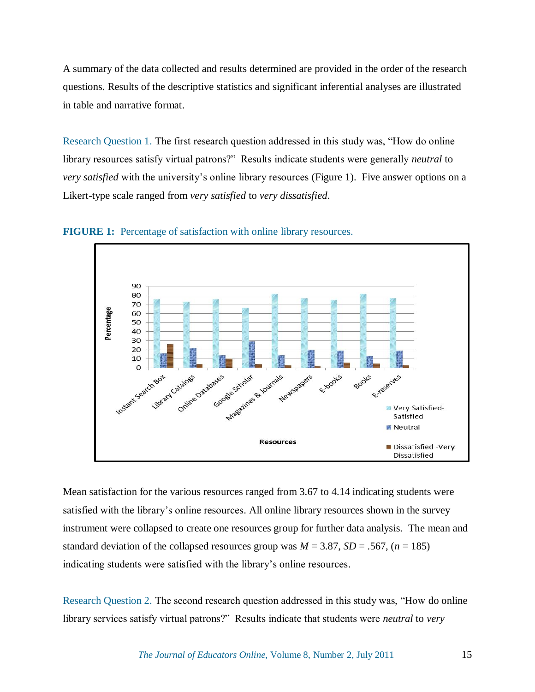A summary of the data collected and results determined are provided in the order of the research questions. Results of the descriptive statistics and significant inferential analyses are illustrated in table and narrative format.

Research Question 1. The first research question addressed in this study was, "How do online" library resources satisfy virtual patrons?" Results indicate students were generally *neutral* to *very satisfied* with the university's online library resources (Figure 1). Five answer options on a Likert-type scale ranged from *very satisfied* to *very dissatisfied*.



**FIGURE 1:** Percentage of satisfaction with online library resources.

Mean satisfaction for the various resources ranged from 3.67 to 4.14 indicating students were satisfied with the library's online resources. All online library resources shown in the survey instrument were collapsed to create one resources group for further data analysis. The mean and standard deviation of the collapsed resources group was  $M = 3.87$ ,  $SD = .567$ ,  $(n = 185)$ indicating students were satisfied with the library's online resources.

Research Question 2. The second research question addressed in this study was, "How do online library services satisfy virtual patrons?" Results indicate that students were *neutral* to *very*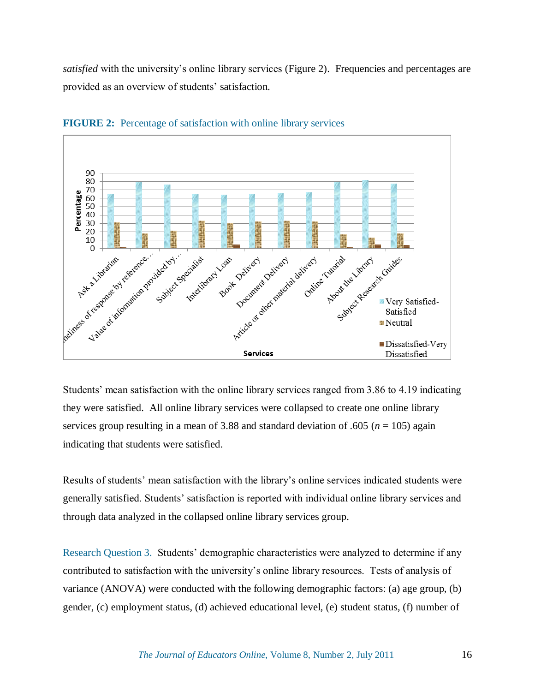*satisfied* with the university's online library services (Figure 2). Frequencies and percentages are provided as an overview of students' satisfaction.

![](_page_15_Figure_1.jpeg)

**FIGURE 2:** Percentage of satisfaction with online library services

Students' mean satisfaction with the online library services ranged from 3.86 to 4.19 indicating they were satisfied. All online library services were collapsed to create one online library services group resulting in a mean of  $3.88$  and standard deviation of .605 ( $n = 105$ ) again indicating that students were satisfied.

Results of students' mean satisfaction with the library's online services indicated students were generally satisfied. Students' satisfaction is reported with individual online library services and through data analyzed in the collapsed online library services group.

Research Question 3.Students' demographic characteristics were analyzed to determine if any contributed to satisfaction with the university's online library resources. Tests of analysis of variance (ANOVA) were conducted with the following demographic factors: (a) age group, (b) gender, (c) employment status, (d) achieved educational level, (e) student status, (f) number of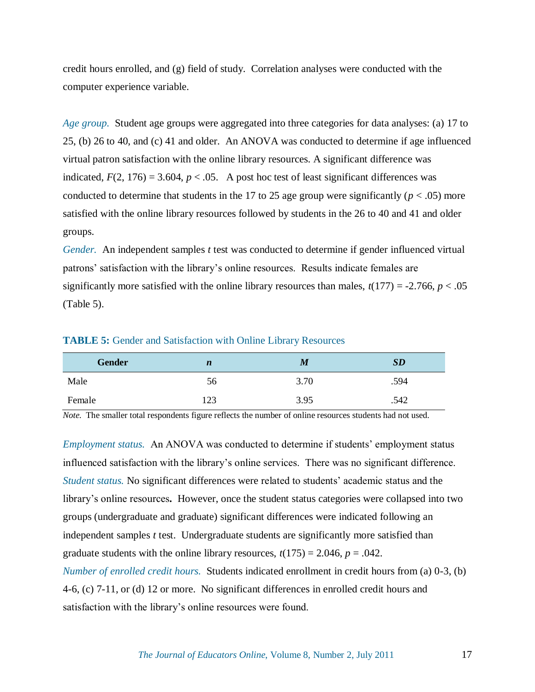credit hours enrolled, and (g) field of study. Correlation analyses were conducted with the computer experience variable.

*Age group.* Student age groups were aggregated into three categories for data analyses: (a) 17 to 25, (b) 26 to 40, and (c) 41 and older. An ANOVA was conducted to determine if age influenced virtual patron satisfaction with the online library resources. A significant difference was indicated,  $F(2, 176) = 3.604$ ,  $p < .05$ . A post hoc test of least significant differences was conducted to determine that students in the 17 to 25 age group were significantly ( $p < .05$ ) more satisfied with the online library resources followed by students in the 26 to 40 and 41 and older groups.

*Gender.* An independent samples *t* test was conducted to determine if gender influenced virtual patrons' satisfaction with the library's online resources. Results indicate females are significantly more satisfied with the online library resources than males,  $t(177) = -2.766$ ,  $p < .05$ (Table 5).

| <b>Gender</b> | $\boldsymbol{n}$ | M    | SD   |
|---------------|------------------|------|------|
| Male          | 56               | 3.70 | .594 |
| Female        | 123              | 3.95 | .542 |

#### **TABLE 5:** Gender and Satisfaction with Online Library Resources

*Note.* The smaller total respondents figure reflects the number of online resources students had not used.

*Employment status.*An ANOVA was conducted to determine if students' employment status influenced satisfaction with the library's online services. There was no significant difference. *Student status.* No significant differences were related to students' academic status and the library's online resources**.** However, once the student status categories were collapsed into two groups (undergraduate and graduate) significant differences were indicated following an independent samples *t* test. Undergraduate students are significantly more satisfied than graduate students with the online library resources,  $t(175) = 2.046$ ,  $p = .042$ . *Number of enrolled credit hours.* **Students indicated enrollment in credit hours from (a) 0-3, (b)** 4-6, (c) 7-11, or (d) 12 or more. No significant differences in enrolled credit hours and satisfaction with the library's online resources were found.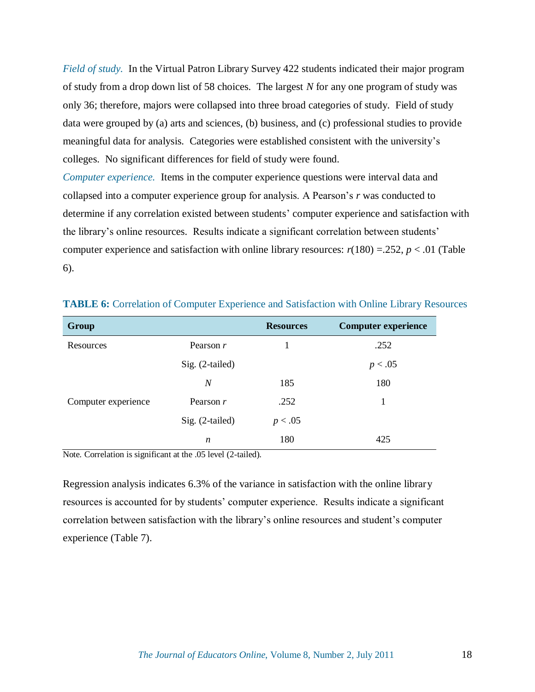*Field of study.* In the Virtual Patron Library Survey 422 students indicated their major program of study from a drop down list of 58 choices. The largest *N* for any one program of study was only 36; therefore, majors were collapsed into three broad categories of study. Field of study data were grouped by (a) arts and sciences, (b) business, and (c) professional studies to provide meaningful data for analysis. Categories were established consistent with the university's colleges. No significant differences for field of study were found.

*Computer experience.*Items in the computer experience questions were interval data and collapsed into a computer experience group for analysis. A Pearson's *r* was conducted to determine if any correlation existed between students' computer experience and satisfaction with the library's online resources. Results indicate a significant correlation between students' computer experience and satisfaction with online library resources:  $r(180) = 0.252$ ,  $p < 0.01$  (Table 6).

| Group               |                 | <b>Resources</b> | <b>Computer experience</b> |
|---------------------|-----------------|------------------|----------------------------|
| Resources           | Pearson $r$     |                  | .252                       |
|                     | Sig. (2-tailed) |                  | p < .05                    |
|                     | N               | 185              | 180                        |
| Computer experience | Pearson r       | .252             | 1                          |
|                     | Sig. (2-tailed) | p < .05          |                            |
|                     | n               | 180              | 425                        |

**TABLE 6:** Correlation of Computer Experience and Satisfaction with Online Library Resources

Note*.* Correlation is significant at the .05 level (2-tailed).

Regression analysis indicates 6.3% of the variance in satisfaction with the online library resources is accounted for by students' computer experience. Results indicate a significant correlation between satisfaction with the library's online resources and student's computer experience (Table 7).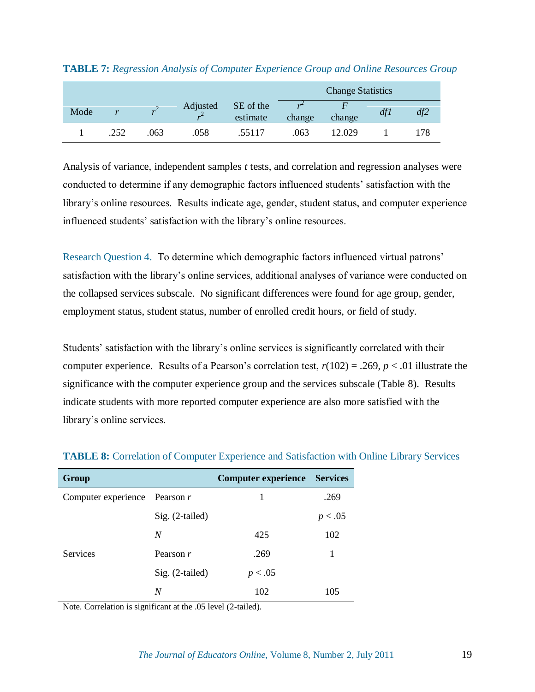|      |                  |      |          |                       | <b>Change Statistics</b> |        |     |     |
|------|------------------|------|----------|-----------------------|--------------------------|--------|-----|-----|
| Mode | $\boldsymbol{v}$ |      | Adjusted | SE of the<br>estimate | change                   | change | df1 | df2 |
|      | .252             | .063 | .058     | .55117                | .063                     | 12.029 |     | 178 |

| <b>TABLE 7:</b> Regression Analysis of Computer Experience Group and Online Resources Group |  |  |  |
|---------------------------------------------------------------------------------------------|--|--|--|
|                                                                                             |  |  |  |

Analysis of variance, independent samples *t* tests, and correlation and regression analyses were conducted to determine if any demographic factors influenced students' satisfaction with the library's online resources. Results indicate age, gender, student status, and computer experience influenced students' satisfaction with the library's online resources.

Research Question 4.To determine which demographic factors influenced virtual patrons' satisfaction with the library's online services, additional analyses of variance were conducted on the collapsed services subscale. No significant differences were found for age group, gender, employment status, student status, number of enrolled credit hours, or field of study.

Students' satisfaction with the library's online services is significantly correlated with their computer experience. Results of a Pearson's correlation test,  $r(102) = .269$ ,  $p < .01$  illustrate the significance with the computer experience group and the services subscale (Table 8). Results indicate students with more reported computer experience are also more satisfied with the library's online services.

| Group                           |                 | <b>Computer experience Services</b> |         |
|---------------------------------|-----------------|-------------------------------------|---------|
| Computer experience Pearson $r$ |                 |                                     | .269    |
|                                 | Sig. (2-tailed) |                                     | p < .05 |
|                                 | N               | 425                                 | 102     |
| <b>Services</b>                 | Pearson r       | .269                                |         |
|                                 | Sig. (2-tailed) | p < .05                             |         |
|                                 | N               | 102                                 | 105     |

**TABLE 8:** Correlation of Computer Experience and Satisfaction with Online Library Services

Note. Correlation is significant at the .05 level (2-tailed).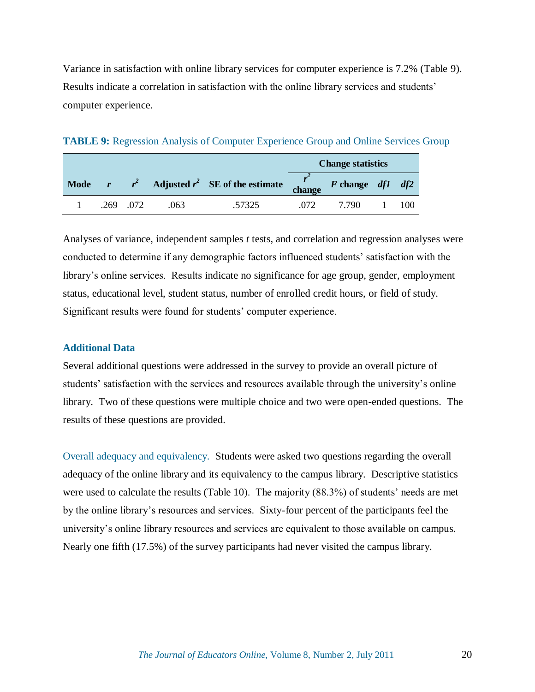Variance in satisfaction with online library services for computer experience is 7.2% (Table 9). Results indicate a correlation in satisfaction with the online library services and students' computer experience.

| <b>TABLE 9:</b> Regression Analysis of Computer Experience Group and Online Services Group |  |
|--------------------------------------------------------------------------------------------|--|
|                                                                                            |  |

|             |               |      |                                                                 | <b>Change statistics</b> |       |  |     |
|-------------|---------------|------|-----------------------------------------------------------------|--------------------------|-------|--|-----|
| <b>Mode</b> |               |      | $r$ $r^2$ Adjusted $r^2$ SE of the estimate change F change df1 |                          |       |  | df2 |
|             | $.269$ $.072$ | .063 | .57325                                                          | (172)                    | 7.790 |  |     |

Analyses of variance, independent samples *t* tests, and correlation and regression analyses were conducted to determine if any demographic factors influenced students' satisfaction with the library's online services. Results indicate no significance for age group, gender, employment status, educational level, student status, number of enrolled credit hours, or field of study. Significant results were found for students' computer experience.

## **Additional Data**

Several additional questions were addressed in the survey to provide an overall picture of students' satisfaction with the services and resources available through the university's online library. Two of these questions were multiple choice and two were open-ended questions. The results of these questions are provided.

Overall adequacy and equivalency. Students were asked two questions regarding the overall adequacy of the online library and its equivalency to the campus library. Descriptive statistics were used to calculate the results (Table 10). The majority (88.3%) of students' needs are met by the online library's resources and services. Sixty-four percent of the participants feel the university's online library resources and services are equivalent to those available on campus. Nearly one fifth (17.5%) of the survey participants had never visited the campus library.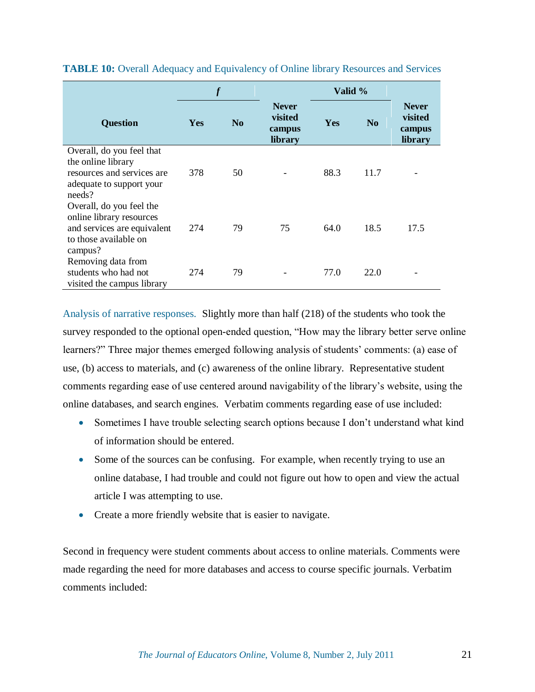|                                                                                                                         | $\boldsymbol{f}$ |                |                                              | Valid %    |                |                                              |
|-------------------------------------------------------------------------------------------------------------------------|------------------|----------------|----------------------------------------------|------------|----------------|----------------------------------------------|
| <b>Question</b>                                                                                                         | Yes              | N <sub>0</sub> | <b>Never</b><br>visited<br>campus<br>library | <b>Yes</b> | N <sub>0</sub> | <b>Never</b><br>visited<br>campus<br>library |
| Overall, do you feel that<br>the online library<br>resources and services are<br>adequate to support your<br>needs?     | 378              | 50             |                                              | 88.3       | 11.7           |                                              |
| Overall, do you feel the<br>online library resources<br>and services are equivalent<br>to those available on<br>campus? | 274              | 79             | 75                                           | 64.0       | 18.5           | 17.5                                         |
| Removing data from<br>students who had not<br>visited the campus library                                                | 274              | 79             |                                              | 77.0       | 22.0           |                                              |

**TABLE 10:** Overall Adequacy and Equivalency of Online library Resources and Services

Analysis of narrative responses.Slightly more than half (218) of the students who took the survey responded to the optional open-ended question, "How may the library better serve online learners?" Three major themes emerged following analysis of students' comments: (a) ease of use, (b) access to materials, and (c) awareness of the online library. Representative student comments regarding ease of use centered around navigability of the library's website, using the online databases, and search engines. Verbatim comments regarding ease of use included:

- Sometimes I have trouble selecting search options because I don't understand what kind of information should be entered.
- Some of the sources can be confusing. For example, when recently trying to use an online database, I had trouble and could not figure out how to open and view the actual article I was attempting to use.
- Create a more friendly website that is easier to navigate.

Second in frequency were student comments about access to online materials. Comments were made regarding the need for more databases and access to course specific journals. Verbatim comments included: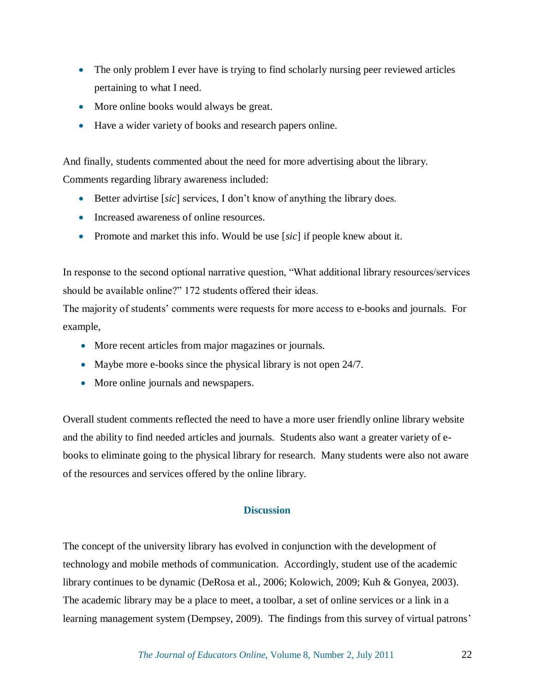- The only problem I ever have is trying to find scholarly nursing peer reviewed articles pertaining to what I need.
- More online books would always be great.
- Have a wider variety of books and research papers online.

And finally, students commented about the need for more advertising about the library. Comments regarding library awareness included:

- Better advirtise [*sic*] services, I don't know of anything the library does.
- Increased awareness of online resources.
- Promote and market this info. Would be use [*sic*] if people knew about it.

In response to the second optional narrative question, "What additional library resources/services should be available online?" 172 students offered their ideas.

The majority of students' comments were requests for more access to e-books and journals. For example,

- More recent articles from major magazines or journals.
- Maybe more e-books since the physical library is not open 24/7.
- More online journals and newspapers.

Overall student comments reflected the need to have a more user friendly online library website and the ability to find needed articles and journals. Students also want a greater variety of ebooks to eliminate going to the physical library for research. Many students were also not aware of the resources and services offered by the online library.

## **Discussion**

The concept of the university library has evolved in conjunction with the development of technology and mobile methods of communication. Accordingly, student use of the academic library continues to be dynamic (DeRosa et al., 2006; Kolowich, 2009; Kuh & Gonyea, 2003). The academic library may be a place to meet, a toolbar, a set of online services or a link in a learning management system (Dempsey, 2009). The findings from this survey of virtual patrons'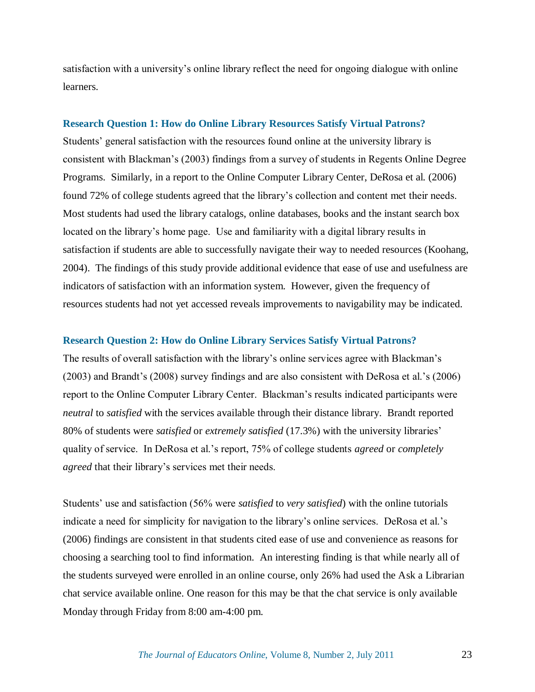satisfaction with a university's online library reflect the need for ongoing dialogue with online learners.

#### **Research Question 1: How do Online Library Resources Satisfy Virtual Patrons?**

Students' general satisfaction with the resources found online at the university library is consistent with Blackman's (2003) findings from a survey of students in Regents Online Degree Programs. Similarly, in a report to the Online Computer Library Center, DeRosa et al. (2006) found 72% of college students agreed that the library's collection and content met their needs. Most students had used the library catalogs, online databases, books and the instant search box located on the library's home page. Use and familiarity with a digital library results in satisfaction if students are able to successfully navigate their way to needed resources (Koohang, 2004). The findings of this study provide additional evidence that ease of use and usefulness are indicators of satisfaction with an information system. However, given the frequency of resources students had not yet accessed reveals improvements to navigability may be indicated.

#### **Research Question 2: How do Online Library Services Satisfy Virtual Patrons?**

The results of overall satisfaction with the library's online services agree with Blackman's (2003) and Brandt's (2008) survey findings and are also consistent with DeRosa et al.'s (2006) report to the Online Computer Library Center. Blackman's results indicated participants were *neutral* to *satisfied* with the services available through their distance library. Brandt reported 80% of students were *satisfied* or *extremely satisfied* (17.3%) with the university libraries' quality of service. In DeRosa et al.'s report, 75% of college students *agreed* or *completely agreed* that their library's services met their needs.

Students' use and satisfaction (56% were *satisfied* to *very satisfied*) with the online tutorials indicate a need for simplicity for navigation to the library's online services. DeRosa et al.'s (2006) findings are consistent in that students cited ease of use and convenience as reasons for choosing a searching tool to find information. An interesting finding is that while nearly all of the students surveyed were enrolled in an online course, only 26% had used the Ask a Librarian chat service available online. One reason for this may be that the chat service is only available Monday through Friday from 8:00 am-4:00 pm.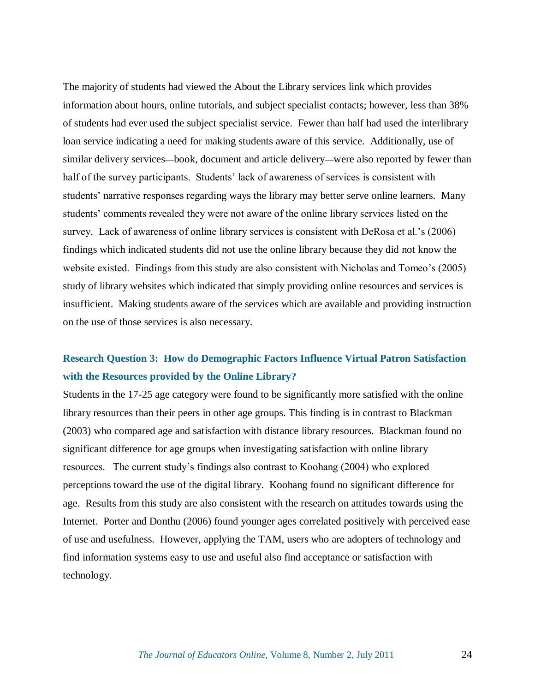The majority of students had viewed the About the Library services link which provides information about hours, online tutorials, and subject specialist contacts; however, less than 38% of students had ever used the subject specialist service. Fewer than half had used the interlibrary loan service indicating a need for making students aware of this service. Additionally, use of similar delivery services—book, document and article delivery—were also reported by fewer than half of the survey participants. Students' lack of awareness of services is consistent with students' narrative responses regarding ways the library may better serve online learners. Many students' comments revealed they were not aware of the online library services listed on the survey. Lack of awareness of online library services is consistent with DeRosa et al.'s (2006) findings which indicated students did not use the online library because they did not know the website existed. Findings from this study are also consistent with Nicholas and Tomeo's (2005) study of library websites which indicated that simply providing online resources and services is insufficient. Making students aware of the services which are available and providing instruction on the use of those services is also necessary.

## **Research Question 3: How do Demographic Factors Influence Virtual Patron Satisfaction with the Resources provided by the Online Library?**

Students in the 17-25 age category were found to be significantly more satisfied with the online library resources than their peers in other age groups. This finding is in contrast to Blackman (2003) who compared age and satisfaction with distance library resources. Blackman found no significant difference for age groups when investigating satisfaction with online library resources. The current study's findings also contrast to Koohang (2004) who explored perceptions toward the use of the digital library. Koohang found no significant difference for age. Results from this study are also consistent with the research on attitudes towards using the Internet. Porter and Donthu (2006) found younger ages correlated positively with perceived ease of use and usefulness. However, applying the TAM, users who are adopters of technology and find information systems easy to use and useful also find acceptance or satisfaction with technology.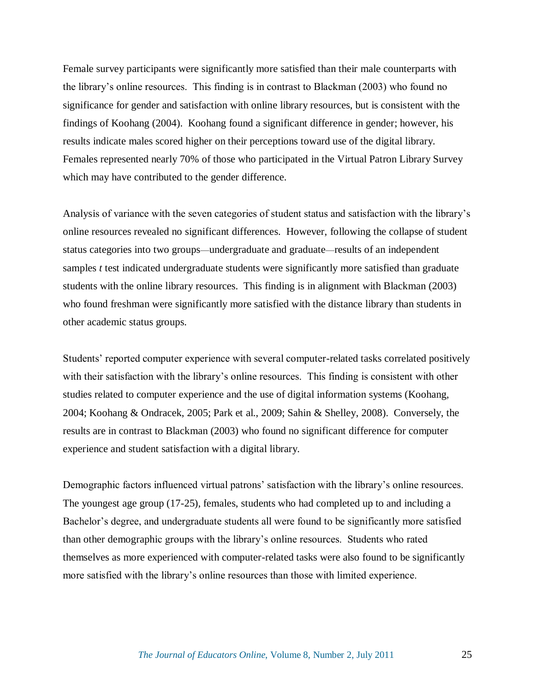Female survey participants were significantly more satisfied than their male counterparts with the library's online resources. This finding is in contrast to Blackman (2003) who found no significance for gender and satisfaction with online library resources, but is consistent with the findings of Koohang (2004). Koohang found a significant difference in gender; however, his results indicate males scored higher on their perceptions toward use of the digital library. Females represented nearly 70% of those who participated in the Virtual Patron Library Survey which may have contributed to the gender difference.

Analysis of variance with the seven categories of student status and satisfaction with the library's online resources revealed no significant differences. However, following the collapse of student status categories into two groups—undergraduate and graduate—results of an independent samples *t* test indicated undergraduate students were significantly more satisfied than graduate students with the online library resources. This finding is in alignment with Blackman (2003) who found freshman were significantly more satisfied with the distance library than students in other academic status groups.

Students' reported computer experience with several computer-related tasks correlated positively with their satisfaction with the library's online resources. This finding is consistent with other studies related to computer experience and the use of digital information systems (Koohang, 2004; Koohang & Ondracek, 2005; Park et al., 2009; Sahin & Shelley, 2008). Conversely, the results are in contrast to Blackman (2003) who found no significant difference for computer experience and student satisfaction with a digital library.

Demographic factors influenced virtual patrons' satisfaction with the library's online resources. The youngest age group (17-25), females, students who had completed up to and including a Bachelor's degree, and undergraduate students all were found to be significantly more satisfied than other demographic groups with the library's online resources. Students who rated themselves as more experienced with computer-related tasks were also found to be significantly more satisfied with the library's online resources than those with limited experience.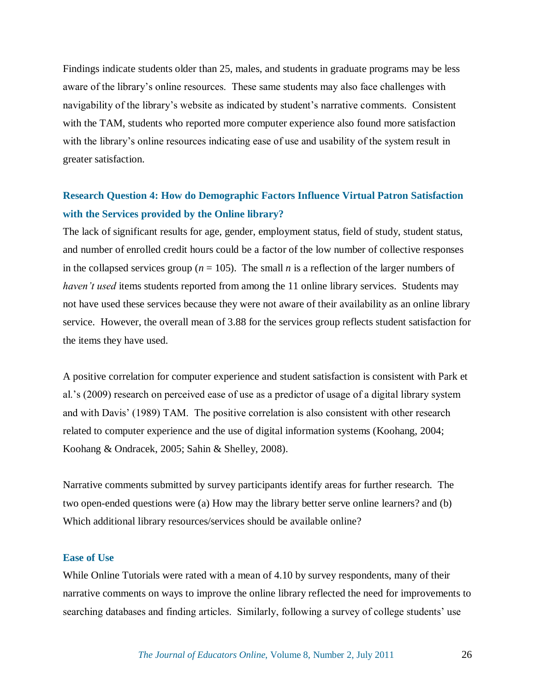Findings indicate students older than 25, males, and students in graduate programs may be less aware of the library's online resources. These same students may also face challenges with navigability of the library's website as indicated by student's narrative comments. Consistent with the TAM, students who reported more computer experience also found more satisfaction with the library's online resources indicating ease of use and usability of the system result in greater satisfaction.

## **Research Question 4: How do Demographic Factors Influence Virtual Patron Satisfaction with the Services provided by the Online library?**

The lack of significant results for age, gender, employment status, field of study, student status, and number of enrolled credit hours could be a factor of the low number of collective responses in the collapsed services group ( $n = 105$ ). The small *n* is a reflection of the larger numbers of *haven't used* items students reported from among the 11 online library services. Students may not have used these services because they were not aware of their availability as an online library service. However, the overall mean of 3.88 for the services group reflects student satisfaction for the items they have used.

A positive correlation for computer experience and student satisfaction is consistent with Park et al.'s (2009) research on perceived ease of use as a predictor of usage of a digital library system and with Davis' (1989) TAM. The positive correlation is also consistent with other research related to computer experience and the use of digital information systems (Koohang, 2004; Koohang & Ondracek, 2005; Sahin & Shelley, 2008).

Narrative comments submitted by survey participants identify areas for further research. The two open-ended questions were (a) How may the library better serve online learners? and (b) Which additional library resources/services should be available online?

## **Ease of Use**

While Online Tutorials were rated with a mean of 4.10 by survey respondents, many of their narrative comments on ways to improve the online library reflected the need for improvements to searching databases and finding articles. Similarly, following a survey of college students' use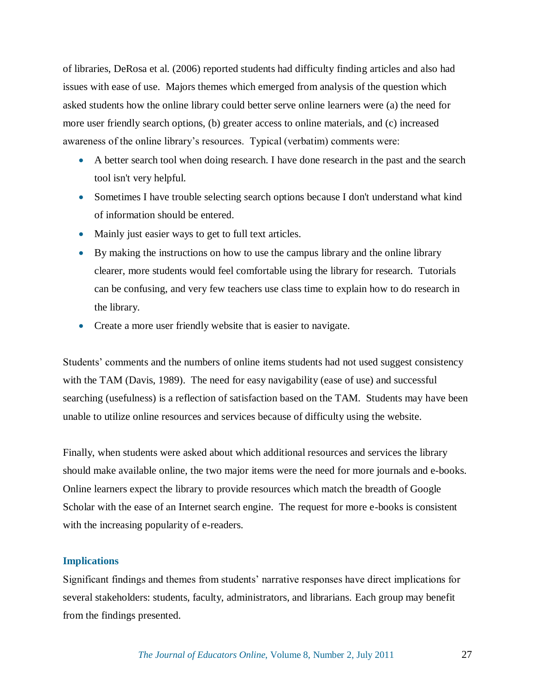of libraries, DeRosa et al. (2006) reported students had difficulty finding articles and also had issues with ease of use. Majors themes which emerged from analysis of the question which asked students how the online library could better serve online learners were (a) the need for more user friendly search options, (b) greater access to online materials, and (c) increased awareness of the online library's resources. Typical (verbatim) comments were:

- A better search tool when doing research. I have done research in the past and the search tool isn't very helpful.
- Sometimes I have trouble selecting search options because I don't understand what kind of information should be entered.
- Mainly just easier ways to get to full text articles.
- By making the instructions on how to use the campus library and the online library clearer, more students would feel comfortable using the library for research. Tutorials can be confusing, and very few teachers use class time to explain how to do research in the library.
- Create a more user friendly website that is easier to navigate.

Students' comments and the numbers of online items students had not used suggest consistency with the TAM (Davis, 1989). The need for easy navigability (ease of use) and successful searching (usefulness) is a reflection of satisfaction based on the TAM. Students may have been unable to utilize online resources and services because of difficulty using the website.

Finally, when students were asked about which additional resources and services the library should make available online, the two major items were the need for more journals and e-books. Online learners expect the library to provide resources which match the breadth of Google Scholar with the ease of an Internet search engine. The request for more e-books is consistent with the increasing popularity of e-readers.

## **Implications**

Significant findings and themes from students' narrative responses have direct implications for several stakeholders: students, faculty, administrators, and librarians. Each group may benefit from the findings presented.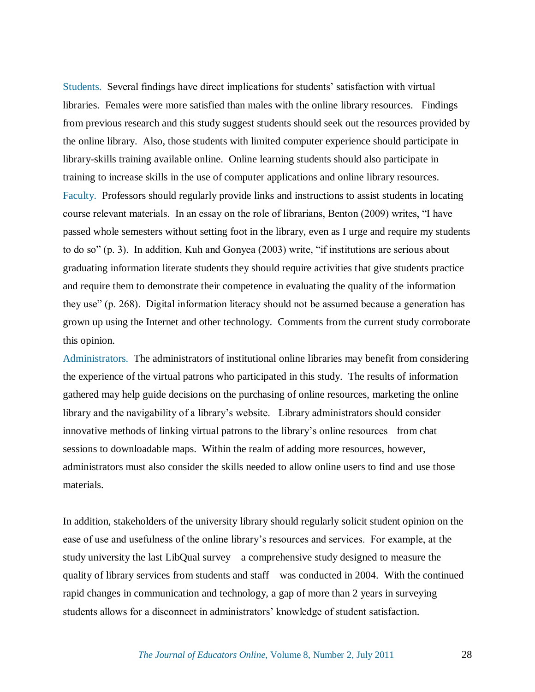Students.Several findings have direct implications for students' satisfaction with virtual libraries. Females were more satisfied than males with the online library resources. Findings from previous research and this study suggest students should seek out the resources provided by the online library. Also, those students with limited computer experience should participate in library-skills training available online. Online learning students should also participate in training to increase skills in the use of computer applications and online library resources. Faculty.Professors should regularly provide links and instructions to assist students in locating course relevant materials. In an essay on the role of librarians, Benton (2009) writes, "I have passed whole semesters without setting foot in the library, even as I urge and require my students to do so" (p. 3). In addition, Kuh and Gonyea  $(2003)$  write, "if institutions are serious about graduating information literate students they should require activities that give students practice and require them to demonstrate their competence in evaluating the quality of the information they use" (p. 268). Digital information literacy should not be assumed because a generation has grown up using the Internet and other technology. Comments from the current study corroborate this opinion.

Administrators.The administrators of institutional online libraries may benefit from considering the experience of the virtual patrons who participated in this study. The results of information gathered may help guide decisions on the purchasing of online resources, marketing the online library and the navigability of a library's website. Library administrators should consider innovative methods of linking virtual patrons to the library's online resources—from chat sessions to downloadable maps. Within the realm of adding more resources, however, administrators must also consider the skills needed to allow online users to find and use those materials.

In addition, stakeholders of the university library should regularly solicit student opinion on the ease of use and usefulness of the online library's resources and services. For example, at the study university the last LibQual survey—a comprehensive study designed to measure the quality of library services from students and staff—was conducted in 2004. With the continued rapid changes in communication and technology, a gap of more than 2 years in surveying students allows for a disconnect in administrators' knowledge of student satisfaction.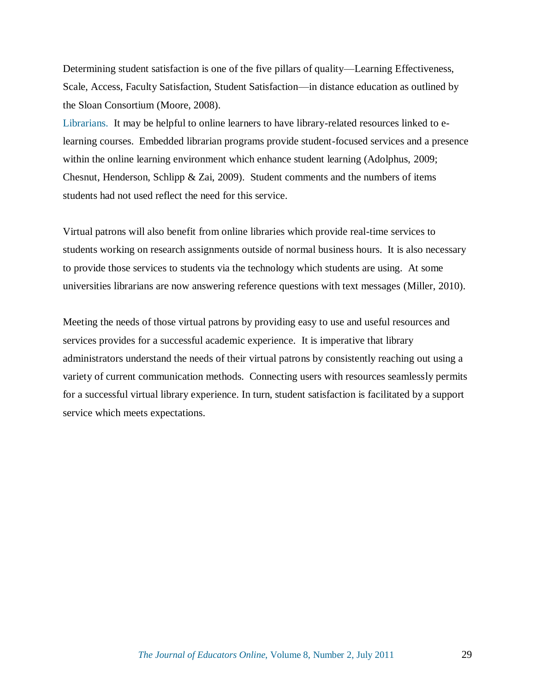Determining student satisfaction is one of the five pillars of quality—Learning Effectiveness, Scale, Access, Faculty Satisfaction, Student Satisfaction—in distance education as outlined by the Sloan Consortium (Moore, 2008).

Librarians.It may be helpful to online learners to have library-related resources linked to elearning courses. Embedded librarian programs provide student-focused services and a presence within the online learning environment which enhance student learning (Adolphus, 2009; Chesnut, Henderson, Schlipp & Zai, 2009). Student comments and the numbers of items students had not used reflect the need for this service.

Virtual patrons will also benefit from online libraries which provide real-time services to students working on research assignments outside of normal business hours. It is also necessary to provide those services to students via the technology which students are using. At some universities librarians are now answering reference questions with text messages (Miller, 2010).

Meeting the needs of those virtual patrons by providing easy to use and useful resources and services provides for a successful academic experience. It is imperative that library administrators understand the needs of their virtual patrons by consistently reaching out using a variety of current communication methods. Connecting users with resources seamlessly permits for a successful virtual library experience. In turn, student satisfaction is facilitated by a support service which meets expectations.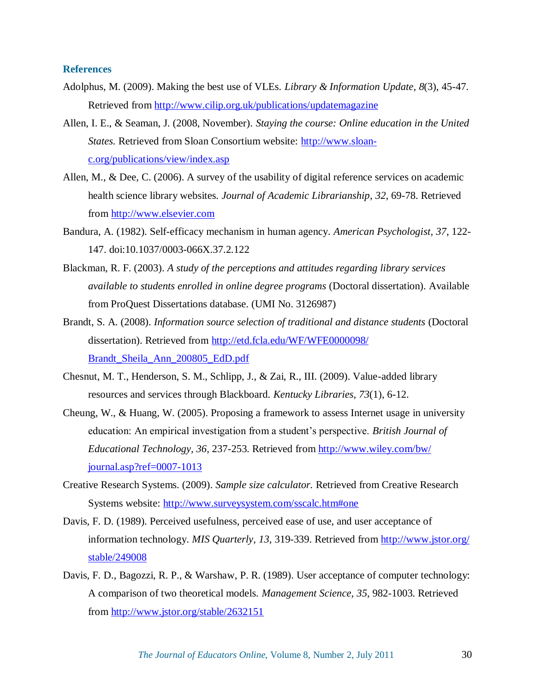## **References**

- Adolphus, M. (2009). Making the best use of VLEs. *Library & Information Update, 8*(3), 45-47. Retrieved from [http://www.cilip.org.uk/publications/updatemagazine](http://www.cilip.org.uk/‌publications/‌updatemagazine)
- Allen, I. E., & Seaman, J. (2008, November). *Staying the course: Online education in the United States.* Retrieved from Sloan Consortium website: [http://www.sloan](http://www.sloan-c.org/publications/view/index.asp)[c.org/publications/view/index.asp](http://www.sloan-c.org/publications/view/index.asp)
- Allen, M., & Dee, C. (2006). A survey of the usability of digital reference services on academic health science library websites. *Journal of Academic Librarianship, 32*, 69-78. Retrieved from [http://www.elsevier.com](http://www.elsevier.com/)
- Bandura, A. (1982). Self-efficacy mechanism in human agency. *American Psychologist, 37*, 122- 147. doi:10.1037/0003-066X.37.2.122
- Blackman, R. F. (2003). *A study of the perceptions and attitudes regarding library services available to students enrolled in online degree programs* (Doctoral dissertation). Available from ProQuest Dissertations database. (UMI No. 3126987)
- Brandt, S. A. (2008). *Information source selection of traditional and distance students* (Doctoral dissertation). Retrieved from [http://etd.fcla.edu/WF/WFE0000098/](http://etd.fcla.edu/‌WF/‌WFE0000098/‌Brandt_Sheila_Ann_200805_EdD.pdf) [Brandt\\_Sheila\\_Ann\\_200805\\_EdD.pdf](http://etd.fcla.edu/‌WF/‌WFE0000098/‌Brandt_Sheila_Ann_200805_EdD.pdf)
- Chesnut, M. T., Henderson, S. M., Schlipp, J., & Zai, R., III. (2009). Value-added library resources and services through Blackboard. *Kentucky Libraries, 73*(1), 6-12.
- Cheung, W., & Huang, W. (2005). Proposing a framework to assess Internet usage in university education: An empirical investigation from a student's perspective. *British Journal of Educational Technology, 36*, 237-253. Retrieved from [http://www.wiley.com/bw/](http://www.wiley.com/‌bw/‌journal.asp?ref=0007-1013) [journal.asp?ref=0007-1013](http://www.wiley.com/‌bw/‌journal.asp?ref=0007-1013)
- Creative Research Systems. (2009). *Sample size calculator.* Retrieved from Creative Research Systems website: [http://www.surveysystem.com/sscalc.htm#one](http://www.surveysystem.com/‌sscalc.htm#one)
- Davis, F. D. (1989). Perceived usefulness, perceived ease of use, and user acceptance of information technology. *MIS Quarterly, 13*, 319-339. Retrieved from [http://www.jstor.org/](http://www.jstor.org/‌stable/‌249008) [stable/249008](http://www.jstor.org/‌stable/‌249008)
- Davis, F. D., Bagozzi, R. P., & Warshaw, P. R. (1989). User acceptance of computer technology: A comparison of two theoretical models. *Management Science, 35*, 982-1003. Retrieved from [http://www.jstor.org/stable/2632151](http://www.jstor.org/‌stable/‌2632151)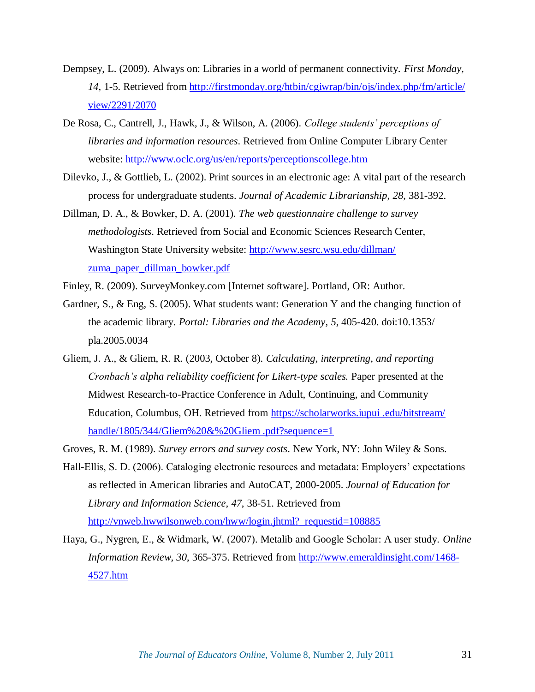- Dempsey, L. (2009). Always on: Libraries in a world of permanent connectivity. *First Monday, 14*, 1-5. Retrieved from [http://firstmonday.org/htbin/cgiwrap/bin/ojs/index.php/fm/article/](http://firstmonday.org/‌htbin/‌cgiwrap/‌bin/‌ojs/‌index.php/‌fm/‌article/‌view/‌2291/‌2070) [view/2291/2070](http://firstmonday.org/‌htbin/‌cgiwrap/‌bin/‌ojs/‌index.php/‌fm/‌article/‌view/‌2291/‌2070)
- De Rosa, C., Cantrell, J., Hawk, J., & Wilson, A. (2006). *College students' perceptions of libraries and information resources*. Retrieved from Online Computer Library Center website: [http://www.oclc.org/us/en/reports/perceptionscollege.htm](http://www.oclc.org/‌us/‌en/‌reports/‌perceptionscollege.htm)
- Dilevko, J., & Gottlieb, L. (2002). Print sources in an electronic age: A vital part of the research process for undergraduate students. *Journal of Academic Librarianship, 28*, 381-392.
- Dillman, D. A., & Bowker, D. A. (2001). *The web questionnaire challenge to survey methodologists*. Retrieved from Social and Economic Sciences Research Center, Washington State University website: [http://www.sesrc.wsu.edu/dillman/](http://www.sesrc.wsu.edu/‌dillman/‌zuma_paper_dillman_bowker.pdf) [zuma\\_paper\\_dillman\\_bowker.pdf](http://www.sesrc.wsu.edu/‌dillman/‌zuma_paper_dillman_bowker.pdf)
- Finley, R. (2009). SurveyMonkey.com [Internet software]. Portland, OR: Author.
- Gardner, S., & Eng, S. (2005). What students want: Generation Y and the changing function of the academic library. *Portal: Libraries and the Academy, 5*, 405-420. doi:10.1353/ pla.2005.0034
- Gliem, J. A., & Gliem, R. R. (2003, October 8). *Calculating, interpreting, and reporting Cronbach's alpha reliability coefficient for Likert-type scales.* Paper presented at the Midwest Research-to-Practice Conference in Adult, Continuing, and Community Education, Columbus, OH. Retrieved from https://scholarworks.iupui .edu/bitstream/ handle/1805/344/Gliem%20&%20Gliem .pdf?sequence=1
- Groves, R. M. (1989). *Survey errors and survey costs*. New York, NY: John Wiley & Sons.
- Hall-Ellis, S. D. (2006). Cataloging electronic resources and metadata: Employers' expectations as reflected in American libraries and AutoCAT, 2000-2005. *Journal of Education for Library and Information Science, 47*, 38-51. Retrieved from [http://vnweb.hwwilsonweb.com/hww/login.jhtml?\\_requestid=108885](http://vnweb.hwwilsonweb.com/‌hww/‌login.jhtml?_requestid=108885)
- Haya, G., Nygren, E., & Widmark, W. (2007). Metalib and Google Scholar: A user study. *Online Information Review, 30*, 365-375. Retrieved from [http://www.emeraldinsight.com/1468-](http://www.emeraldinsight.com/‌1468-4527.htm) [4527.htm](http://www.emeraldinsight.com/‌1468-4527.htm)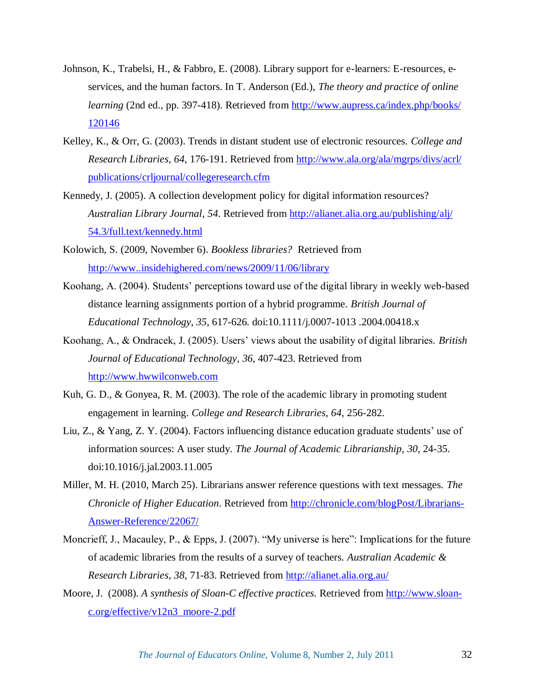- Johnson, K., Trabelsi, H., & Fabbro, E. (2008). Library support for e-learners: E-resources, eservices, and the human factors. In T. Anderson (Ed.), *The theory and practice of online learning* (2nd ed., pp. 397-418). Retrieved from [http://www.aupress.ca/index.php/books/](http://www.aupress.ca/‌index.php/‌books/‌120146) [120146](http://www.aupress.ca/‌index.php/‌books/‌120146)
- Kelley, K., & Orr, G. (2003). Trends in distant student use of electronic resources. *College and Research Libraries, 64*, 176-191. Retrieved from [http://www.ala.org/ala/mgrps/divs/acrl/](http://www.ala.org/‌ala/‌mgrps/‌divs/‌acrl/‌publications/‌crljournal/‌collegeresearch.cfm) [publications/crljournal/collegeresearch.cfm](http://www.ala.org/‌ala/‌mgrps/‌divs/‌acrl/‌publications/‌crljournal/‌collegeresearch.cfm)
- Kennedy, J. (2005). A collection development policy for digital information resources? *Australian Library Journal, 54*. Retrieved from [http://alianet.alia.org.au/publishing/alj/](http://alianet.alia.org.au/‌publishing/‌alj/‌54.3/‌full.text/‌kennedy.html) [54.3/full.text/kennedy.html](http://alianet.alia.org.au/‌publishing/‌alj/‌54.3/‌full.text/‌kennedy.html)
- Kolowich, S. (2009, November 6). *Bookless libraries?* Retrieved from <http://www..insidehighered.com/news/2009/11/06/library>
- Koohang, A. (2004). Students' perceptions toward use of the digital library in weekly web-based distance learning assignments portion of a hybrid programme. *British Journal of Educational Technology, 35*, 617-626. doi:10.1111/j.0007-1013 .2004.00418.x
- Koohang, A., & Ondracek, J. (2005). Users' views about the usability of digital libraries. *British Journal of Educational Technology, 36*, 407-423. Retrieved from [http://www.hwwilconweb.com](http://www.hwwilconweb.com/)
- Kuh, G. D., & Gonyea, R. M. (2003). The role of the academic library in promoting student engagement in learning. *College and Research Libraries*, *64*, 256-282.
- Liu, Z., & Yang, Z. Y. (2004). Factors influencing distance education graduate students' use of information sources: A user study. *The Journal of Academic Librarianship, 30*, 24-35. doi:10.1016/j.jal.2003.11.005
- Miller, M. H. (2010, March 25). Librarians answer reference questions with text messages. *The Chronicle of Higher Education*. Retrieved from [http://chronicle.com/blogPost/Librarians-](http://chronicle.com/‌blogPost/‌Librarians-Answer-Reference/‌22067/)[Answer-Reference/22067/](http://chronicle.com/‌blogPost/‌Librarians-Answer-Reference/‌22067/)
- Moncrieff, J., Macauley, P., & Epps, J. (2007). "My universe is here": Implications for the future of academic libraries from the results of a survey of teachers. *Australian Academic & Research Libraries, 38*, 71-83. Retrieved from<http://alianet.alia.org.au/>
- Moore, J. (2008). *A synthesis of Sloan-C effective practices.* Retrieved from [http://www.sloan](http://www.sloan-c.org/effective/v12n3_moore-2.pdf)[c.org/effective/v12n3\\_moore-2.pdf](http://www.sloan-c.org/effective/v12n3_moore-2.pdf)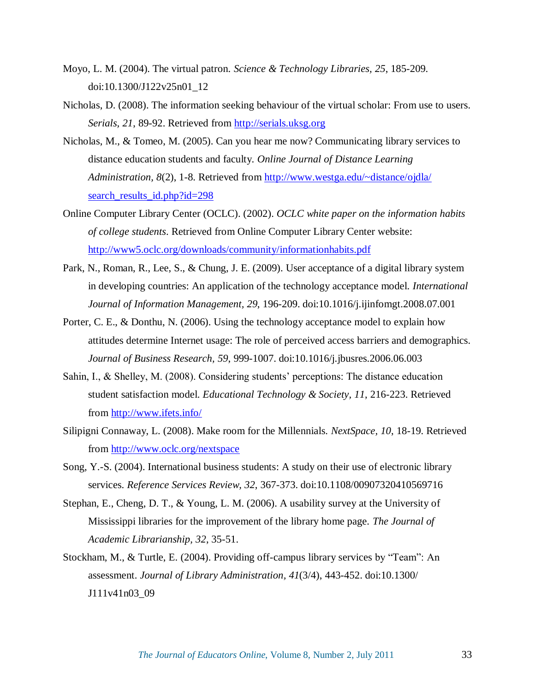- Moyo, L. M. (2004). The virtual patron. *Science & Technology Libraries, 25*, 185-209. doi:10.1300/J122v25n01\_12
- Nicholas, D. (2008). The information seeking behaviour of the virtual scholar: From use to users. *Serials, 21*, 89-92. Retrieved from [http://serials.uksg.org](http://serials.uksg.org/)
- Nicholas, M., & Tomeo, M. (2005). Can you hear me now? Communicating library services to distance education students and faculty. *Online Journal of Distance Learning Administration, 8*(2), 1-8. Retrieved from [http://www.westga.edu/~distance/ojdla/](http://www.westga.edu/‌~distance/‌ojdla/‌search_results_id.php?id=298) search results id.php?id=298
- Online Computer Library Center (OCLC). (2002). *OCLC white paper on the information habits of college students*. Retrieved from Online Computer Library Center website: [http://www5.oclc.org/downloads/community/informationhabits.pdf](http://www5.oclc.org/‌downloads/‌community/‌informationhabits.pdf)
- Park, N., Roman, R., Lee, S., & Chung, J. E. (2009). User acceptance of a digital library system in developing countries: An application of the technology acceptance model. *International Journal of Information Management, 29*, 196-209. doi:10.1016/j.ijinfomgt.2008.07.001
- Porter, C. E., & Donthu, N. (2006). Using the technology acceptance model to explain how attitudes determine Internet usage: The role of perceived access barriers and demographics. *Journal of Business Research, 59*, 999-1007. doi:10.1016/j.jbusres.2006.06.003
- Sahin, I., & Shelley, M. (2008). Considering students' perceptions: The distance education student satisfaction model. *Educational Technology & Society, 11*, 216-223. Retrieved from<http://www.ifets.info/>
- Silipigni Connaway, L. (2008). Make room for the Millennials. *NextSpace, 10*, 18-19. Retrieved from [http://www.oclc.org/nextspace](http://www.oclc.org/‌nextspace)
- Song, Y.-S. (2004). International business students: A study on their use of electronic library services. *Reference Services Review, 32*, 367-373. doi:10.1108/00907320410569716
- Stephan, E., Cheng, D. T., & Young, L. M. (2006). A usability survey at the University of Mississippi libraries for the improvement of the library home page. *The Journal of Academic Librarianship, 32*, 35-51.
- Stockham, M., & Turtle, E. (2004). Providing off-campus library services by "Team": An assessment. *Journal of Library Administration, 41*(3/4), 443-452. doi:10.1300/ J111v41n03\_09